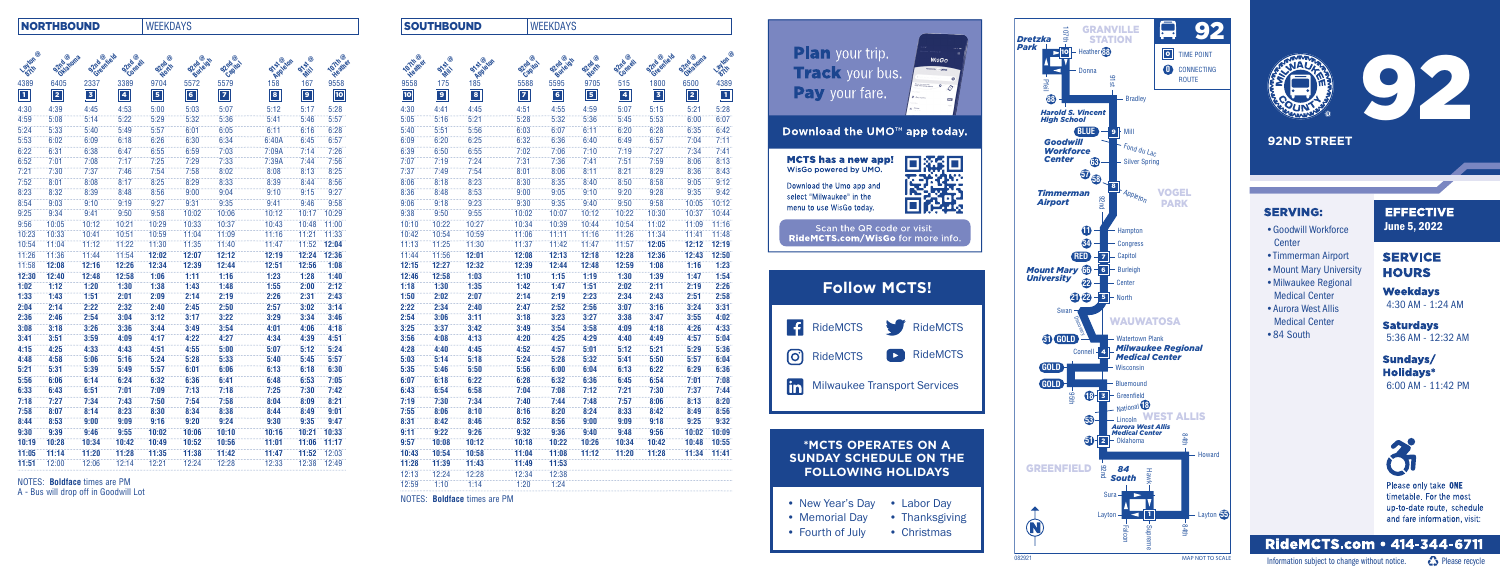

- Labor Day • Thanksgiving
- Christmas

## NORTHBOUND WEEKDAYS

| ◉<br><b>Layton</b> | Oklahoma<br><b>Shrip</b> | <b>92mg</b> entiety | Comet<br>Shrip          | ◉<br>Shrip<br>North     | <b>O2nd Joid!</b> | $^\circledR$<br><b>S2mb</b><br><b>Capitol</b> | <b>on statedy</b> | ◉<br><b>915-</b><br>WH | <b>Voltages</b> |
|--------------------|--------------------------|---------------------|-------------------------|-------------------------|-------------------|-----------------------------------------------|-------------------|------------------------|-----------------|
| 4389               | 6405                     | 2337                | 3389                    | 9704                    | 5572              | 5579                                          |                   | 167                    | 9558            |
| $\boxed{1}$        | 2                        | $\overline{3}$      | $\overline{\mathbf{4}}$ | $\overline{\mathbf{5}}$ | $6\overline{6}$   | $\overline{7}$                                | $\bullet$         | $\overline{9}$         | $\overline{10}$ |
| 4:30               | 4:39                     | 4:45                | 4:53                    | 5:00                    | 5:03              | 5:07                                          | 5:12              | 5:17                   | 5:28            |
| 4:59               | 5:08                     | 5:14                | 5:22                    | 5:29                    | 5:32              | 5:36                                          | 5:41              | 5:46                   | 5:57            |
| 5:24               | 5:33                     | 5:40                | 5:49                    | 5:57                    | 6:01              | 6:05                                          | 6:11              | 6:16                   | 6:28            |
| 5:53               | 6:02                     | 6:09                | 6:18                    | 6:26                    | 6:30              | 6:34                                          | 6:40A             | 6:45                   | 6:57            |
| 6:22               | 6:31                     | 6:38                | 6:47                    | 6:55                    | 6:59              | 7:03                                          | 7:09A             | 7:14                   | 7:26            |
| 6:52               | 7:01                     | 7:08                | 7:17                    | 7:25                    | 7:29              | 7:33                                          | 7:39A             | 7:44                   | 7:56            |
| 7:21               | 7:30                     | 7:37                | 7:46                    | 7:54                    | 7:58              | 8:02                                          | 8:08              | 8:13                   | 8:25            |
| 7:52               | 8:01                     | 8:08                | 8:17                    | 8:25                    | 8:29              | 8:33                                          | 8:39              | 8:44                   | 8:56            |
| 8:23               | 8:32                     | 8:39                | 8:48                    | 8:56                    | 9:00              | 9:04                                          | 9:10              | 9:15                   | 9:27            |
| 8:54               | 9:03                     | 9:10                | 9:19                    | 9:27                    | 9:31              | 9:35                                          | 9:41              | 9:46                   | 9:58            |
| 9:25               | 9:34                     | 9:41                | 9:50                    | 9:58                    | 10:02             | 10:06                                         | 10:12             | 10:17                  | 10:29           |
| 9:56               | 10:05                    | 10:12               | 10:21                   | 10:29                   | 10:33             | 10:37                                         | 10:43             | 10:48                  | 11:00           |
| 10:23              | 10:33                    | 10:41               | 10:51                   | 10:59                   | 11:04             | 11:09                                         | 11:16             | 11:21                  | 11:33           |
| 10:54              | 11:04                    | 11:12               | 11:22                   | 11:30                   | 11:35             | 11:40                                         | 11:47             | 11:52                  | 12:04           |
| 11:26              | 11:36                    | 11:44               | 11:54                   | 12:02                   | 12:07             | 12:12                                         | 12:19             | 12:24                  | 12:36           |
| 11:58              | 12:08                    | 12:16               | 12:26                   | 12:34                   | 12:39             | 12:44                                         | 12:51             | 12:56                  | 1:08            |
| 12:30              | 12:40                    | 12:48               | 12:58                   | 1:06                    | 1:11              | 1:16                                          | 1:23              | 1:28                   | 1:40            |
| 1:02               | 1:12                     | 1:20                | 1:30                    | 1:38                    | 1:43              | 1:48                                          | 1:55              | 2:00                   | 2:12            |
| 1:33               | 1:43                     | 1:51                | 2:01                    | 2:09                    | 2:14              | 2:19                                          | 2:26              | 2:31                   | 2:43            |
| 2:04               | 2:14                     | 2:22                | 2:32                    | 2:40                    | 2:45              | 2:50                                          | 2:57              | 3:02                   | 3:14            |
| 2:36               | 2:46                     | 2:54                | 3:04                    | 3:12                    | 3:17              | 3:22                                          | 3:29              | 3:34                   | 3:46            |
| 3:08               | 3:18                     | 3:26                | 3:36                    | 3:44                    | 3:49              | 3:54                                          | 4:01              | 4:06                   | 4:18            |
| 3:41               | 3:51                     | 3:59                | 4:09                    | 4:17                    | 4:22              | 4:27                                          | 4:34              | 4:39                   | 4:51            |
| 4:15               | 4:25                     | 4:33                | 4:43                    | 4:51                    | 4:55              | 5:00                                          | 5:07              | 5:12                   | 5:24            |
| 4:48               | 4:58                     | 5:06                | 5:16                    | 5:24                    | 5:28              | 5:33                                          | 5:40              | 5:45                   | 5:57            |
| 5:21               | 5:31                     | 5:39                | 5:49                    | 5:57                    | 6:01              | 6:06                                          | 6:13              | 6:18                   | 6:30            |
| 5:56               | 6:06                     | 6:14                | 6:24                    | 6:32                    | 6:36              | 6:41                                          | 6:48              | 6:53                   | 7:05            |
| 6:33               | 6:43                     | 6:51                | 7:01                    | 7:09                    | 7:13              | 7:18                                          | 7:25              | 7:30                   | 7:42            |
| 7:18               | 7:27                     | 7:34                | 7:43                    | 7:50                    | 7:54              | 7:58                                          | 8:04              | 8:09                   | 8:21            |
| 7:58               | 8:07                     | 8:14                | 8:23                    | 8:30                    | 8:34              | 8:38                                          | 8:44              | 8:49                   | 9:01            |
| 8:44               | 8:53                     | 9:00                | 9:09                    | 9:16                    | 9:20              | 9:24                                          | 9:30              | 9:35                   | 9:47            |
| 9:30               | 9:39                     | 9:46                | 9:55                    | 10:02                   | 10:06             | 10:10                                         | 10:16             | 10:21                  | 10:33           |
| 10:19              | 10:28                    | 10:34               | 10:42                   | 10:49                   | 10:52             | 10:56                                         | 11:01             | 11:06                  | 11:17           |
| 11:05              | 11:14                    | 11:20               | 11:28                   | 11:35                   | 11:38             | 11:42                                         | 11:47             | 11:52                  | 12:03           |
| 11:51              | 12:00                    | 12:06               | 12:14                   | 12:21                   | 12:24             | 12:28                                         | 12:33             | 12:38                  | 12:49           |
|                    |                          |                     |                         |                         |                   |                                               |                   |                        |                 |

| Layton @    | SPrivatoms                            | Strigeniald | S2nd @xl    | <b>92nd @</b> | <b>S2nd @idh</b> | <b>92nd @N</b> | <b>System</b> | $\circledcirc$<br><b>OVER</b> | $\circledcirc$<br><b>107th Street</b> | $\circledcirc$<br><b>107th Vert</b> | <b>OVAIL</b>         | <b>STS-Jeton</b>             | <b>92nd @N</b> | <b>92nd @idh</b> | <b>92nd @</b> | S2nd @x1    | Strigeniald | S2nd anoma  | <b>Layton®</b>          |
|-------------|---------------------------------------|-------------|-------------|---------------|------------------|----------------|---------------|-------------------------------|---------------------------------------|-------------------------------------|----------------------|------------------------------|----------------|------------------|---------------|-------------|-------------|-------------|-------------------------|
| 4389        | 6405                                  | 2337        | 3389        | 9704          | 5572             | 5579           | 158           | 167                           | 9558                                  | 9558                                | 175                  | 185                          | 5588           | 5595             | 9705          | 515         | 1800        | 6500        | 4389                    |
| $\boxed{1}$ | $\boxed{2}$                           | $\boxed{3}$ | $\boxed{4}$ | $\boxed{5}$   | $\boxed{6}$      | $\boxed{7}$    | $\boxed{8}$   | $\boxed{9}$                   | $\overline{10}$                       | 10                                  | $\boxed{\mathbf{e}}$ | $\boxed{8}$                  | $\boxed{7}$    | $\boxed{6}$      | $\boxed{5}$   | $\boxed{4}$ | $\boxed{3}$ | $\boxed{2}$ | $\overline{\mathbf{1}}$ |
| 4:30        | 4:39                                  | 4:45        | 4:53        | 5:00          | 5:03             | 5:07           | 5:12          | 5:17                          | 5:28                                  | 4:30                                | 4:41                 | 4:45                         | 4:51           | 4:55             | 4:59          | 5:07        | 5:15        | 5:21        | 5:28                    |
| 4:59        | 5:08                                  | 5:14        | 5:22        | 5:29          | 5:32             | 5:36           | 5:41          | 5:46                          | 5:57                                  | 5:05                                | 5:16                 | 5:21                         | 5:28           | 5:32             | 5:36          | 5:45        | 5:53        | 6:00        | 6:07                    |
| 5:24        | 5:33                                  | 5:40        | 5:49        | 5:57          | 6:01             | 6:05           | 6:11          | 6:16                          | 6:28                                  | 5:40                                | 5:51                 | 5:56                         | 6:03           | 6:07             | 6:11          | 6:20        | 6:28        | 6:35        | 6:42                    |
| 5:53        | 6:02                                  | 6:09        | 6:18        | 6:26          | 6:30             | 6:34           | 6:40A         | 6:45                          | 6:57                                  | 6:09                                | 6:20                 | 6:25                         | 6:32           | 6:36             | 6:40          | 6:49        | 6:57        | 7:04        | 7:11                    |
| 6:22        | 6:31                                  | 6:38        | 6:47        | 6:55          | 6:59             | 7:03           | 7:09A         | 7:14                          | 7:26                                  | 6:39                                | 6:50                 | 6:55                         | 7:02           | 7:06             | 7:10          | 7:19        | 7:27        | 7:34        | 7:41                    |
| 6:52        | 7:01                                  | 7:08        | 7:17        | 7:25          | 7:29             | 7:33           | 7:39A         | 7:44                          | 7:56                                  | 7:07                                | 7:19                 | 7:24                         | 7:31           | 7:36             | 7:41          | 7:51        | 7:59        | 8:06        | 8:13                    |
| 7:21        | 7:30                                  | 7:37        | 7:46        | 7:54          | 7:58             | 8:02           | 8:08          | 8:13                          | 8:25                                  | 7:37                                | 7:49                 | 7:54                         | 8:01           | 8:06             | 8:11          | 8:21        | 8:29        | 8:36        | 8:43                    |
| 7:52        | 8:01                                  | 8:08        | 8:17        | 8:25          | 8:29             | 8:33           | 8:39          | 8:44                          | 8:56                                  | 8:06                                | 8:18                 | 8:23                         | 8:30           | 8:35             | 8:40          | 8:50        | 8:58        | 9:05        | 9:12                    |
| 8:23        | 8:32                                  | 8:39        | 8:48        | 8:56          | 9:00             | 9:04           | 9:10          | 9:15                          | 9:27                                  | 8:36                                | 8:48                 | 8:53                         | 9:00           | 9:05             | 9:10          | 9:20        | 9:28        | 9:35        | 9:42                    |
| 8:54        | 9:03                                  | 9:10        | 9:19        | 9:27          | 9:31             | 9:35           | 9:41          | 9:46                          | 9:58                                  | 9:06                                | 9:18                 | 9:23                         | 9:30           | 9:35             | 9:40          | 9:50        | 9:58        | 10:05       | 10:12                   |
| 9:25        | 9:34                                  | 9:41        | 9:50        | 9:58          | 10:02            | 10:06          | 10:12         | 10:17                         | 10:29                                 | 9:38                                | 9:50                 | 9:55                         | 10:02          | 10:07            | 10:12         | 10:22       | 10:30       | 10:37       | 10:44                   |
| 9:56        | 10:05                                 | 10:12       | 10:21       | 10:29         | 10:33            | 10:37          | 10:43         | 10:48                         | 11:00                                 | 10:10                               | 10:22                | 10:27                        | 10:34          | 10:39            | 10:44         | 10:54       | 11:02       | 11:09       | 11:16                   |
| 10:23       | 10:33                                 | 10:41       | 10:51       | 10:59         | 11:04            | 11:09          | 11:16         | 11:21                         | 11:33                                 | 10:42                               | 10:54                | 10:59                        | 11:06          | 11:11            | 11:16         | 11:26       | 11:34       | 11:41       | 11:48                   |
| 10:54       | 11:04                                 | 11:12       | 11:22       | 11:30         | 11:35            | 11:40          | 11:47         | 11:52                         | 12:04                                 | 11:13                               | 11:25                | 11:30                        | 11:37          | 11:42            | 11:47         | 11:57       | 12:05       | 12:12       | 12:19                   |
| 11:26       | 11:36                                 | 11:44       | 11:54       | 12:02         | 12:07            | 12:12          | 12:19         | 12:24                         | 12:36                                 | 11:44                               | 11:56                | 12:01                        | 12:08          | 12:13            | 12:18         | 12:28       | 12:36       | 12:43       | 12:50                   |
| 11:58       | 12:08                                 | 12:16       | 12:26       | 12:34         | 12:39            | 12:44          | 12:51         | 12:56                         | 1:08                                  | 12:15                               | 12:27                | 12:32                        | 12:39          | 12:44            | 12:48         | 12:59       | 1:08        | 1:16        | 1:23                    |
| 12:30       | 12:40                                 | 12:48       | 12:58       | 1:06          | 1:11             | 1:16           | 1:23          | 1:28                          | 1:40                                  | 12:46                               | 12:58                | 1:03                         | 1:10           | 7:15             | 7:19          | 1:30        | 1:39        | 1:47        | 1:54                    |
| 1:02        | 1:12                                  | 1:20        | 1:30        | 1:38          | 1:43             | 1:48           | 1:55          | 2:00                          | 2:12                                  | 1:18                                | 1:30                 | 1:35                         | 1:42           | 1:47             | 1:51          | 2:02        | 2:11        | 2:19        | 2:26                    |
| 1:33        | 1:43                                  | 1:51        | 2:01        | 2:09          | 2:14             | 2:19           | 2:26          | 2:31                          | 2:43                                  | 1:50                                | 2:02                 | 2:07                         | 2:14           | 2:19             | 2:23          | 2:34        | 2:43        | 2:51        | 2:58                    |
| 2:04        | 2:14                                  | 2:22        | 2:32        | 2:40          | 2:45             | 2:50           | 2:57          | 3:02                          | 3:14                                  | 2:22                                | 2:34                 | 2:40                         | 2:47           | 2:52             | 2:56          | 3:07        | 3:16        | 3:24        | 3:31                    |
| 2:36        | 2:46                                  | 2:54        | 3:04        | 3:12          | 3:17             | 3:22           | 3:29          | 3:34                          | 3:46                                  | 2:54                                | 3:06                 | 3:11                         | 3:18           | 3:23             | 3:27          | 3:38        | 3:47        | 3:55        | 4:02                    |
| 3:08        | 3:18                                  | 3:26        | 3:36        | 3:44          | 3:49             | 3:54           | 4:01          | 4:06                          | 4:18                                  | 3:25                                | 3:37                 | 3:42                         | 3:49           | 3:54             | 3:58          | 4:09        | 4:18        | 4:26        | 4:33                    |
| 3:41        | 3:51                                  | 3:59        | 4:09        | 4:17          | 4:22             | 4:27           | 4:34          | 4:39                          | 4:51                                  | 3:56                                | 4:08                 | 4:13                         | 4:20           | 4:25             | 4:29          | 4:40        | 4:49        | 4:57        | 5:04                    |
| 4:15        | 4:25                                  | 4:33        | 4:43        | 4:51          | 4:55             | 5:00           | 5:07          | 5:12                          | 5:24                                  | 4:28                                | 4:40                 | 4:45                         | 4:52           | 4:57             | 5:01          | 5:12        | 5:21        | 5:29        | 5:36                    |
| 4:48        | 4:58                                  | 5:06        | 5:16        | 5:24          | 5:28             | 5:33           | 5:40          | 5:45                          | 5:57                                  | 5:03                                | 5:14                 | 5:18                         | 5:24           | 5:28             | 5:32          | 5:41        | 5:50        | 5:57        | 6:04                    |
| 5:21        | 5:31                                  | 5:39        | 5:49        | 5:57          | 6:01             | 6:06           | 6:13          | 6:18                          | 6:30                                  | 5:35                                | 5:46                 | 5:50                         | 5:56           | 6:00             | 6:04          | 6:13        | 6:22        | 6:29        | 6:36                    |
| 5:56        | 6:06                                  | 6:14        | 6:24        | 6:32          | 6:36             | 6:41           | 6:48          | 6:53                          | 7:05                                  | 6:07                                | 6:18                 | 6:22                         | 6:28           | 6:32             | 6:36          | 6:45        | 6:54        | 7:01        | 7:08                    |
| 6:33        | 6:43                                  | 6:51        | 7:01        | 7:09          | 7:13             | 7:18           | 7:25          | 7:30                          | 7:42                                  | 6:43                                | 6:54                 | 6:58                         | 7:04           | 7:08             | 7:12          | 7:21        | 7:30        | 7:37        | 7:44                    |
| 7:18        | 7:27                                  | 7:34        | 7:43        | 7:50          | 7:54             | 7:58           | 8:04          | 8:09                          | 8:21                                  | 7:19                                | 7:30                 | 7:34                         | 7:40           | 7:44             | 7:48          | 7:57        | 8:06        | 8:13        | 8:20                    |
| 7:58        | 8:07                                  | 8:14        | 8:23        | 8:30          | 8:34             | 8:38           | 8:44          | 8:49                          | 9:01                                  | 7:55                                | 8:06                 | 8:10                         | 8:16           | 8:20             | 8:24          | 8:33        | 8:42        | 8:49        | 8:56                    |
| 8:44        | 8:53                                  | 9:00        | 9:09        | 9:16          | 9:20             | 9:24           | 9:30          | 9:35                          | 9:47                                  | 8:31                                | 8:42                 | 8:46                         | 8:52           | 8:56             | 9:00          | 9:09        | 9:18        | 9:25        | 9:32                    |
| 9:30        | 9:39                                  | 9:46        | 9:55        | 10:02         | 10:06            | 10:10          | 10:16         | 10:21                         | 10:33                                 | 9:11                                | 9:22                 | 9:26                         | 9:32           | 9:36             | 9:40          | 9:48        | 9:56        | 10:02       | 10:09                   |
| 10:19       | 10:28                                 | 10:34       | 10:42       | 10:49         | 10:52            | 10:56          | 11:01         | 11:06                         | 71:17                                 | 9:57                                | 10:08                | 10:12                        | 10:18          | 10:22            | 10:26         | 10:34       | 10:42       | 10:48       | 10:55                   |
| 11:05       | 11:14                                 | 11:20       | 11:28       | 11:35         | 11:38            | 11:42          | 11:47         | 11:52                         | 12:03                                 | 10:43                               | 10:54                | 10:58                        | 11:04          | 11:08            | 11:12         | 11:20       | 11:28       | 11:34       | 11:41                   |
| 11:51       | 12:00                                 | 12:06       | 12:14       | 12:21         | 12:24            | 12:28          | 12:33         |                               | 12:38 12:49                           | 11:28                               | 11:39                | 11:43                        | 11:49          | 11:53            |               |             |             |             |                         |
|             |                                       |             |             |               |                  |                |               |                               |                                       | 12:13                               | 12:24                | 12:28                        | 12:34          | 12:38            |               |             |             |             |                         |
|             | NOTES: <b>Boldface</b> times are PM   |             |             |               |                  |                |               |                               |                                       | 12:59                               | 7:10                 | 7:14                         | 1:20           | 1:24             |               |             |             |             |                         |
|             | A - Bus will drop off in Goodwill Lot |             |             |               |                  |                |               |                               |                                       | NOTES:                              |                      | <b>Boldface times are PM</b> |                |                  |               |             |             |             |                         |

# **Plan** your trip. **Track** your bus. **Pay** your fare.

## Download the UMO<sup>™</sup> app today.

**MCTS has a new app!** WisGo powered by UMO. Download the Umo app and

select "Milwaukee" in the menu to use WisGo today.

Scan the QR code or visit RideMCTS.com/WisGo for more info.



timetable. For the most up-to-date route, schedule and fare information, visit:

## RideMCTS.com • 414-344-6711

Information subject to change without notice.  $\bullet$  Please recycle

## **SOUTHBOUND WEEKDAYS**

## **\*MCTS OPERATES ON A SUNDAY SCHEDULE ON THE FOLLOWING HOLIDAYS**

- New Year's Day
- Memorial Day
- Fourth of July





# RideMCTS

**RideMCTS**